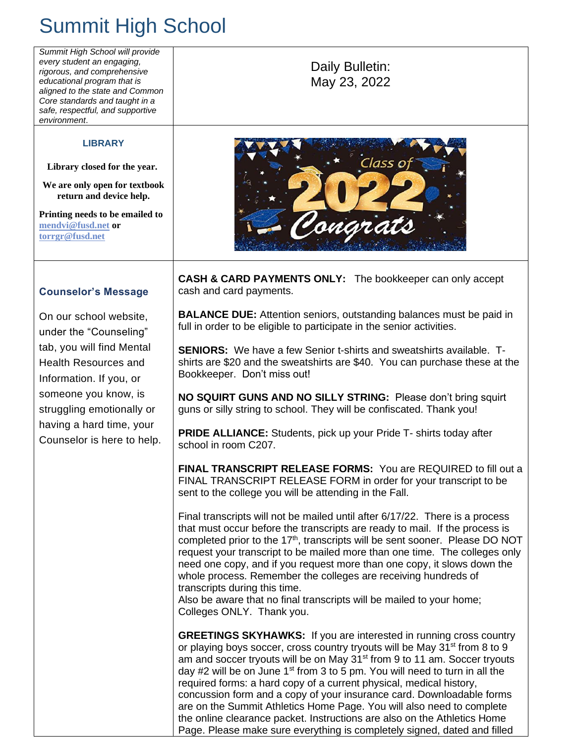## Summit High School

*Summit High School will provide every student an engaging,*  Daily Bulletin: *rigorous, and comprehensive educational program that is*  May 23, 2022 *aligned to the state and Common Core standards and taught in a safe, respectful, and supportive environment*. **LIBRARY** Class o **Library closed for the year. We are only open for textbook return and device help. Printing needs to be emailed to**  onarc **[mendvi@fusd.net](mailto:mendvi@fusd.net) or [torrgr@fusd.net](mailto:torrgr@fusd.net) CASH & CARD PAYMENTS ONLY:** The bookkeeper can only accept **Counselor's Message** cash and card payments. **BALANCE DUE:** Attention seniors, outstanding balances must be paid in On our school website, full in order to be eligible to participate in the senior activities. under the "Counseling" tab, you will find Mental **SENIORS:** We have a few Senior t-shirts and sweatshirts available. T-Health Resources and shirts are \$20 and the sweatshirts are \$40. You can purchase these at the Bookkeeper. Don't miss out! Information. If you, or someone you know, is **NO SQUIRT GUNS AND NO SILLY STRING:** Please don't bring squirt struggling emotionally or guns or silly string to school. They will be confiscated. Thank you! having a hard time, your **PRIDE ALLIANCE:** Students, pick up your Pride T- shirts today after Counselor is here to help. school in room C207. **FINAL TRANSCRIPT RELEASE FORMS:** You are REQUIRED to fill out a FINAL TRANSCRIPT RELEASE FORM in order for your transcript to be sent to the college you will be attending in the Fall. Final transcripts will not be mailed until after 6/17/22. There is a process that must occur before the transcripts are ready to mail. If the process is completed prior to the 17<sup>th</sup>, transcripts will be sent sooner. Please DO NOT request your transcript to be mailed more than one time. The colleges only need one copy, and if you request more than one copy, it slows down the whole process. Remember the colleges are receiving hundreds of transcripts during this time. Also be aware that no final transcripts will be mailed to your home; Colleges ONLY. Thank you. **GREETINGS SKYHAWKS:** If you are interested in running cross country or playing boys soccer, cross country tryouts will be May 31<sup>st</sup> from 8 to 9 am and soccer tryouts will be on May 31<sup>st</sup> from 9 to 11 am. Soccer tryouts day  $#2$  will be on June  $1<sup>st</sup>$  from 3 to 5 pm. You will need to turn in all the required forms: a hard copy of a current physical, medical history, concussion form and a copy of your insurance card. Downloadable forms are on the Summit Athletics Home Page. You will also need to complete the online clearance packet. Instructions are also on the Athletics Home Page. Please make sure everything is completely signed, dated and filled